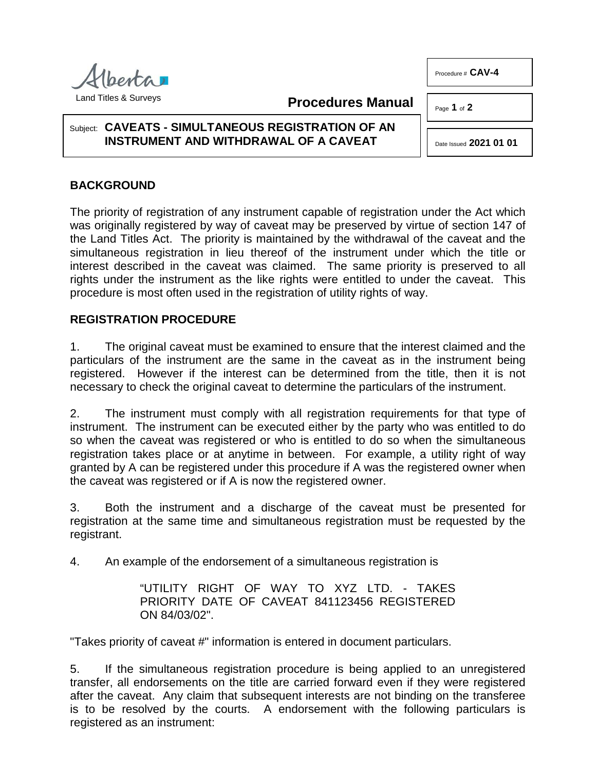**Procedures Manual**

Subject: **CAVEATS - SIMULTANEOUS REGISTRATION OF AN INSTRUMENT AND WITHDRAWAL OF A CAVEAT**

## **BACKGROUND**

The priority of registration of any instrument capable of registration under the Act which was originally registered by way of caveat may be preserved by virtue of section 147 of the Land Titles Act. The priority is maintained by the withdrawal of the caveat and the simultaneous registration in lieu thereof of the instrument under which the title or interest described in the caveat was claimed. The same priority is preserved to all rights under the instrument as the like rights were entitled to under the caveat. This procedure is most often used in the registration of utility rights of way.

## **REGISTRATION PROCEDURE**

1. The original caveat must be examined to ensure that the interest claimed and the particulars of the instrument are the same in the caveat as in the instrument being registered. However if the interest can be determined from the title, then it is not necessary to check the original caveat to determine the particulars of the instrument.

2. The instrument must comply with all registration requirements for that type of instrument. The instrument can be executed either by the party who was entitled to do so when the caveat was registered or who is entitled to do so when the simultaneous registration takes place or at anytime in between. For example, a utility right of way granted by A can be registered under this procedure if A was the registered owner when the caveat was registered or if A is now the registered owner.

3. Both the instrument and a discharge of the caveat must be presented for registration at the same time and simultaneous registration must be requested by the registrant.

4. An example of the endorsement of a simultaneous registration is

"UTILITY RIGHT OF WAY TO XYZ LTD. - TAKES PRIORITY DATE OF CAVEAT 841123456 REGISTERED ON 84/03/02".

"Takes priority of caveat #" information is entered in document particulars.

5. If the simultaneous registration procedure is being applied to an unregistered transfer, all endorsements on the title are carried forward even if they were registered after the caveat. Any claim that subsequent interests are not binding on the transferee is to be resolved by the courts. A endorsement with the following particulars is registered as an instrument:



Procedure # **CAV-4**

Page **1** of **2**

Date Issued **2021 01 01**